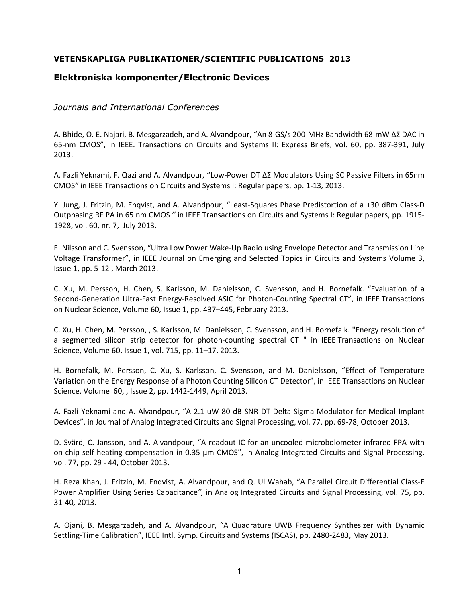## **VETENSKAPLIGA PUBLIKATIONER/SCIENTIFIC PUBLICATIONS 2013**

## **Elektroniska komponenter/Electronic Devices**

## *Journals and International Conferences*

A. Bhide, O. E. Najari, B. Mesgarzadeh, and A. Alvandpour, "An 8-GS/s 200-MHz Bandwidth 68-mW ∆Σ DAC in 65-nm CMOS", in IEEE. Transactions on Circuits and Systems II: Express Briefs, vol. 60, pp. 387-391, July 2013.

A. Fazli Yeknami, F. Qazi and A. Alvandpour, "Low-Power DT ΔΣ Modulators Using SC Passive Filters in 65nm CMOS*"* in IEEE Transactions on Circuits and Systems I: Regular papers, pp. 1-13*,* 2013.

Y. Jung, J. Fritzin, M. Enqvist, and A. Alvandpour, "Least-Squares Phase Predistortion of a +30 dBm Class-D Outphasing RF PA in 65 nm CMOS *"* in IEEE Transactions on Circuits and Systems I: Regular papers, pp. 1915- 1928, vol. 60, nr. 7, July 2013.

E. Nilsson and C. Svensson, "Ultra Low Power Wake-Up Radio using Envelope Detector and Transmission Line Voltage Transformer", in IEEE Journal on Emerging and Selected Topics in Circuits and Systems Volume 3, Issue 1, pp. 5-12 , March 2013.

C. Xu, M. Persson, H. Chen, S. Karlsson, M. Danielsson, C. Svensson, and H. Bornefalk. "Evaluation of a Second-Generation Ultra-Fast Energy-Resolved ASIC for Photon-Counting Spectral CT", in IEEE Transactions on Nuclear Science, Volume 60, Issue 1, pp. 437–445, February 2013.

C. Xu, H. Chen, M. Persson, , S. Karlsson, M. Danielsson, C. Svensson, and H. Bornefalk. "Energy resolution of a segmented silicon strip detector for photon-counting spectral CT " in IEEE Transactions on Nuclear Science, Volume 60, Issue 1, vol. 715, pp. 11–17, 2013.

H. Bornefalk, M. Persson, C. Xu, S. Karlsson, C. Svensson, and M. Danielsson, "Effect of Temperature Variation on the Energy Response of a Photon Counting Silicon CT Detector", in IEEE Transactions on Nuclear Science, Volume 60, , Issue 2, pp. 1442-1449, April 2013.

A. Fazli Yeknami and A. Alvandpour, "A 2.1 uW 80 dB SNR DT Delta-Sigma Modulator for Medical Implant Devices", in Journal of Analog Integrated Circuits and Signal Processing, vol. 77, pp. 69-78, October 2013.

D. Svärd, C. Jansson, and A. Alvandpour, "A readout IC for an uncooled microbolometer infrared FPA with on-chip self-heating compensation in 0.35 μm CMOS", in Analog Integrated Circuits and Signal Processing, vol. 77, pp. 29 - 44, October 2013.

H. Reza Khan, J. Fritzin, M. Enqvist, A. Alvandpour, and Q. Ul Wahab, "A Parallel Circuit Differential Class-E Power Amplifier Using Series Capacitance*",* in Analog Integrated Circuits and Signal Processing, vol. 75, pp. 31-40*,* 2013.

A. Ojani, B. Mesgarzadeh, and A. Alvandpour, "A Quadrature UWB Frequency Synthesizer with Dynamic Settling-Time Calibration", IEEE Intl. Symp. Circuits and Systems (ISCAS), pp. 2480-2483, May 2013.